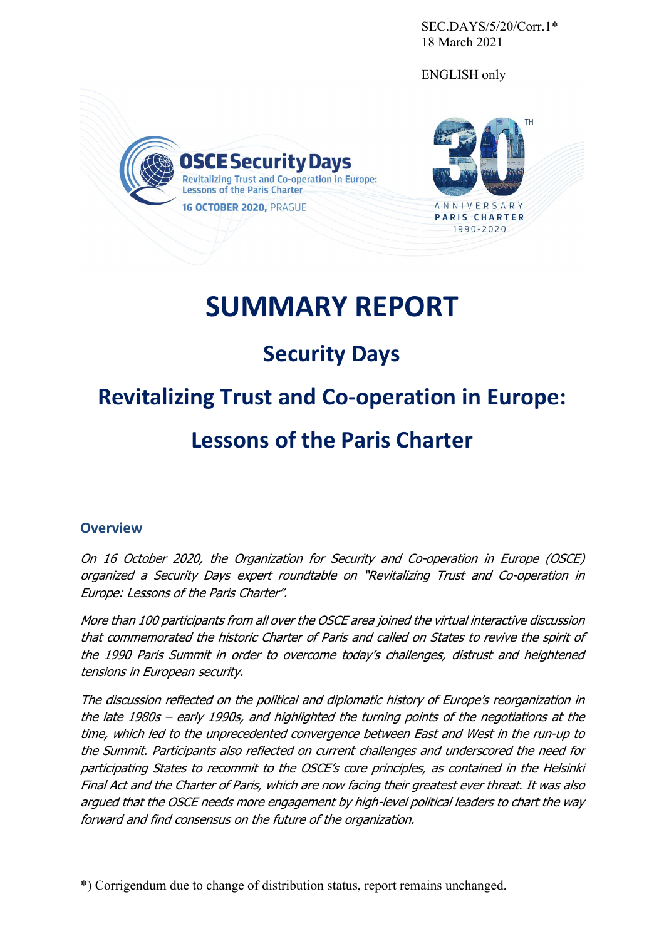SEC.DAYS/5/20/Corr.1\* 18 March 2021

ENGLISH only





# **SUMMARY REPORT**

# **Security Days**

# **Revitalizing Trust and Co-operation in Europe:**

# **Lessons of the Paris Charter**

## **Overview**

On 16 October 2020, the Organization for Security and Co-operation in Europe (OSCE) organized a Security Days expert roundtable on "Revitalizing Trust and Co-operation in Europe: Lessons of the Paris Charter".

More than 100 participants from all over the OSCE area joined the virtual interactive discussion that commemorated the historic Charter of Paris and called on States to revive the spirit of the 1990 Paris Summit in order to overcome today's challenges, distrust and heightened tensions in European security.

The discussion reflected on the political and diplomatic history of Europe's reorganization in the late 1980s – early 1990s, and highlighted the turning points of the negotiations at the time, which led to the unprecedented convergence between East and West in the run-up to the Summit. Participants also reflected on current challenges and underscored the need for participating States to recommit to the OSCE's core principles, as contained in the Helsinki Final Act and the Charter of Paris, which are now facing their greatest ever threat. It was also argued that the OSCE needs more engagement by high-level political leaders to chart the way forward and find consensus on the future of the organization.

\*) Corrigendum due to change of distribution status, report remains unchanged.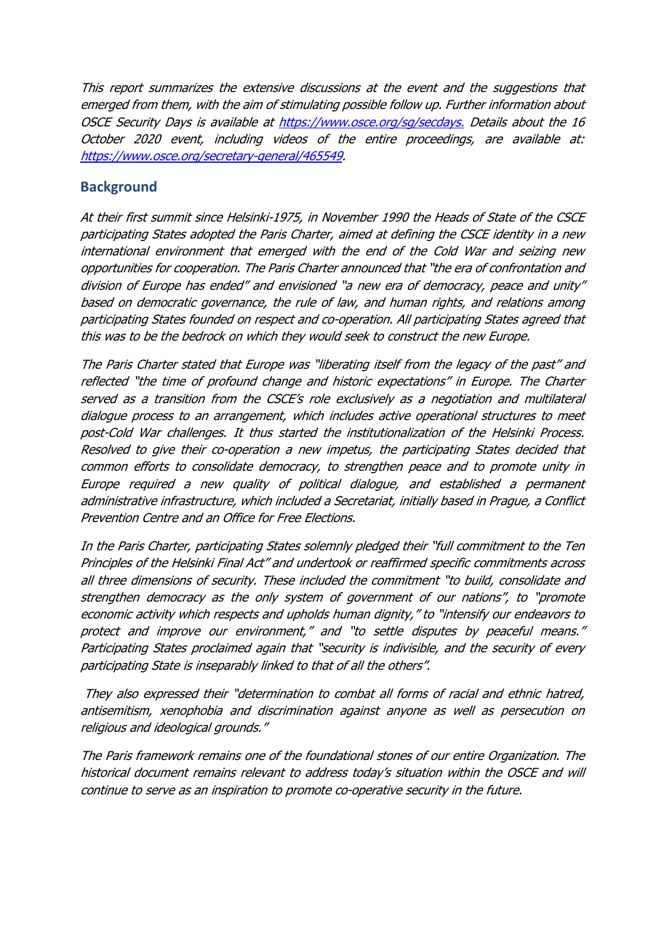This report summarizes the extensive discussions at the event and the suggestions that emerged from them, with the aim of stimulating possible follow up. Further information about OSCE Security Days is available at https://www.osce.org/sg/secdays. Details about the 16 October 2020 event, including videos of the entire proceedings, are available at: https://www.osce.org/secretary-general/465549.

### **Background**

At their first summit since Helsinki-1975, in November 1990 the Heads of State of the CSCE participating States adopted the Paris Charter, aimed at defining the CSCE identity in a new international environment that emerged with the end of the Cold War and seizing new opportunities for cooperation. The Paris Charter announced that "the era of confrontation and division of Europe has ended" and envisioned "a new era of democracy, peace and unity" based on democratic governance, the rule of law, and human rights, and relations among participating States founded on respect and co-operation. All participating States agreed that this was to be the bedrock on which they would seek to construct the new Europe.

The Paris Charter stated that Europe was "liberating itself from the legacy of the past" and reflected "the time of profound change and historic expectations" in Europe. The Charter served as a transition from the CSCE's role exclusively as a negotiation and multilateral dialogue process to an arrangement, which includes active operational structures to meet post-Cold War challenges. It thus started the institutionalization of the Helsinki Process. Resolved to give their co-operation a new impetus, the participating States decided that common efforts to consolidate democracy, to strengthen peace and to promote unity in Europe required a new quality of political dialogue, and established a permanent administrative infrastructure, which included a Secretariat, initially based in Prague, a Conflict Prevention Centre and an Office for Free Elections.

In the Paris Charter, participating States solemnly pledged their "full commitment to the Ten Principles of the Helsinki Final Act" and undertook or reaffirmed specific commitments across all three dimensions of security. These included the commitment "to build, consolidate and strengthen democracy as the only system of government of our nations", to "promote economic activity which respects and upholds human dignity," to "intensify our endeavors to protect and improve our environment," and "to settle disputes by peaceful means." Participating States proclaimed again that "security is indivisible, and the security of every participating State is inseparably linked to that of all the others".

 They also expressed their "determination to combat all forms of racial and ethnic hatred, antisemitism, xenophobia and discrimination against anyone as well as persecution on religious and ideological grounds."

The Paris framework remains one of the foundational stones of our entire Organization. The historical document remains relevant to address today's situation within the OSCE and will continue to serve as an inspiration to promote co-operative security in the future.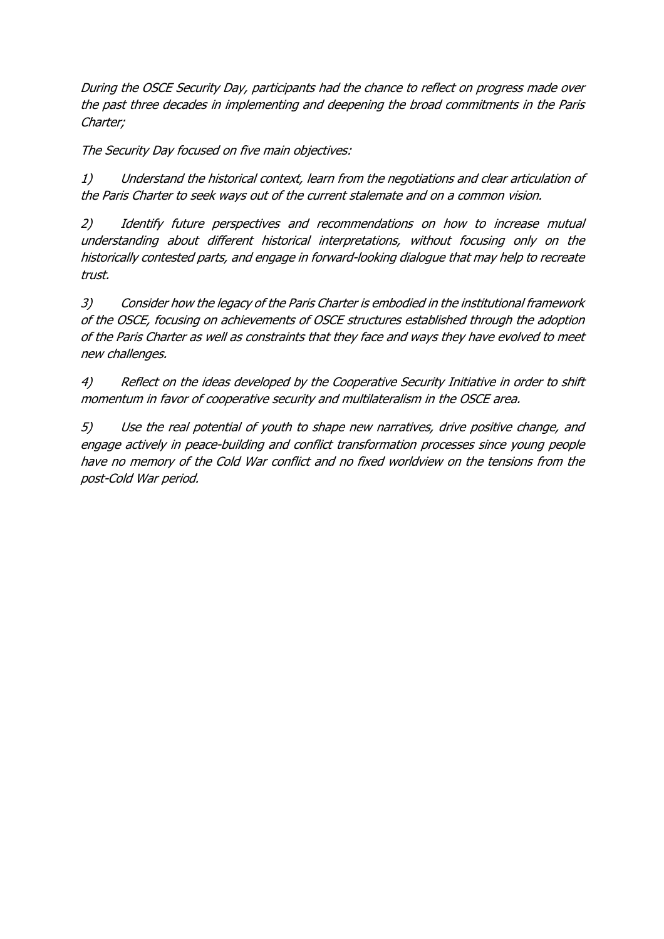During the OSCE Security Day, participants had the chance to reflect on progress made over the past three decades in implementing and deepening the broad commitments in the Paris Charter;

The Security Day focused on five main objectives:

1) Understand the historical context, learn from the negotiations and clear articulation of the Paris Charter to seek ways out of the current stalemate and on a common vision.

2) Identify future perspectives and recommendations on how to increase mutual understanding about different historical interpretations, without focusing only on the historically contested parts, and engage in forward-looking dialogue that may help to recreate trust.

3) Consider how the legacy of the Paris Charter is embodied in the institutional framework of the OSCE, focusing on achievements of OSCE structures established through the adoption of the Paris Charter as well as constraints that they face and ways they have evolved to meet new challenges.

4) Reflect on the ideas developed by the Cooperative Security Initiative in order to shift momentum in favor of cooperative security and multilateralism in the OSCE area.

5) Use the real potential of youth to shape new narratives, drive positive change, and engage actively in peace-building and conflict transformation processes since young people have no memory of the Cold War conflict and no fixed worldview on the tensions from the post-Cold War period.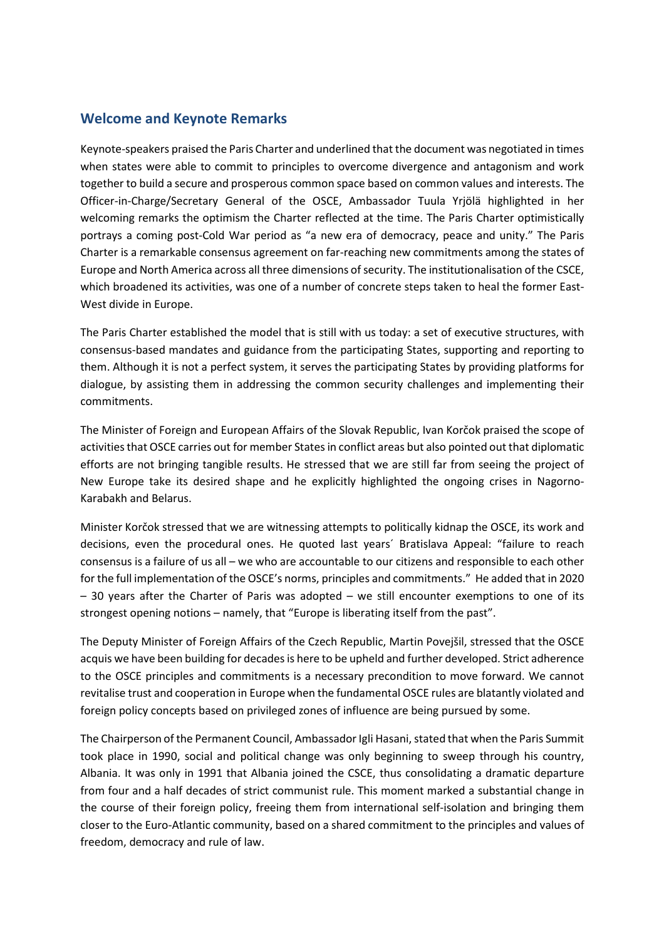### **Welcome and Keynote Remarks**

Keynote-speakers praised the Paris Charter and underlined that the document was negotiated in times when states were able to commit to principles to overcome divergence and antagonism and work together to build a secure and prosperous common space based on common values and interests. The Officer-in-Charge/Secretary General of the OSCE, Ambassador Tuula Yrjölä highlighted in her welcoming remarks the optimism the Charter reflected at the time. The Paris Charter optimistically portrays a coming post-Cold War period as "a new era of democracy, peace and unity." The Paris Charter is a remarkable consensus agreement on far-reaching new commitments among the states of Europe and North America across all three dimensions of security. The institutionalisation of the CSCE, which broadened its activities, was one of a number of concrete steps taken to heal the former East-West divide in Europe.

The Paris Charter established the model that is still with us today: a set of executive structures, with consensus-based mandates and guidance from the participating States, supporting and reporting to them. Although it is not a perfect system, it serves the participating States by providing platforms for dialogue, by assisting them in addressing the common security challenges and implementing their commitments.

The Minister of Foreign and European Affairs of the Slovak Republic, Ivan Korčok praised the scope of activities that OSCE carries out for member States in conflict areas but also pointed out that diplomatic efforts are not bringing tangible results. He stressed that we are still far from seeing the project of New Europe take its desired shape and he explicitly highlighted the ongoing crises in Nagorno-Karabakh and Belarus.

Minister Korčok stressed that we are witnessing attempts to politically kidnap the OSCE, its work and decisions, even the procedural ones. He quoted last years´ Bratislava Appeal: "failure to reach consensus is a failure of us all – we who are accountable to our citizens and responsible to each other for the full implementation of the OSCE's norms, principles and commitments." He added that in 2020 – 30 years after the Charter of Paris was adopted – we still encounter exemptions to one of its strongest opening notions – namely, that "Europe is liberating itself from the past".

The Deputy Minister of Foreign Affairs of the Czech Republic, Martin Povejšil, stressed that the OSCE acquis we have been building for decades is here to be upheld and further developed. Strict adherence to the OSCE principles and commitments is a necessary precondition to move forward. We cannot revitalise trust and cooperation in Europe when the fundamental OSCE rules are blatantly violated and foreign policy concepts based on privileged zones of influence are being pursued by some.

The Chairperson of the Permanent Council, Ambassador Igli Hasani, stated that when the Paris Summit took place in 1990, social and political change was only beginning to sweep through his country, Albania. It was only in 1991 that Albania joined the CSCE, thus consolidating a dramatic departure from four and a half decades of strict communist rule. This moment marked a substantial change in the course of their foreign policy, freeing them from international self-isolation and bringing them closer to the Euro-Atlantic community, based on a shared commitment to the principles and values of freedom, democracy and rule of law.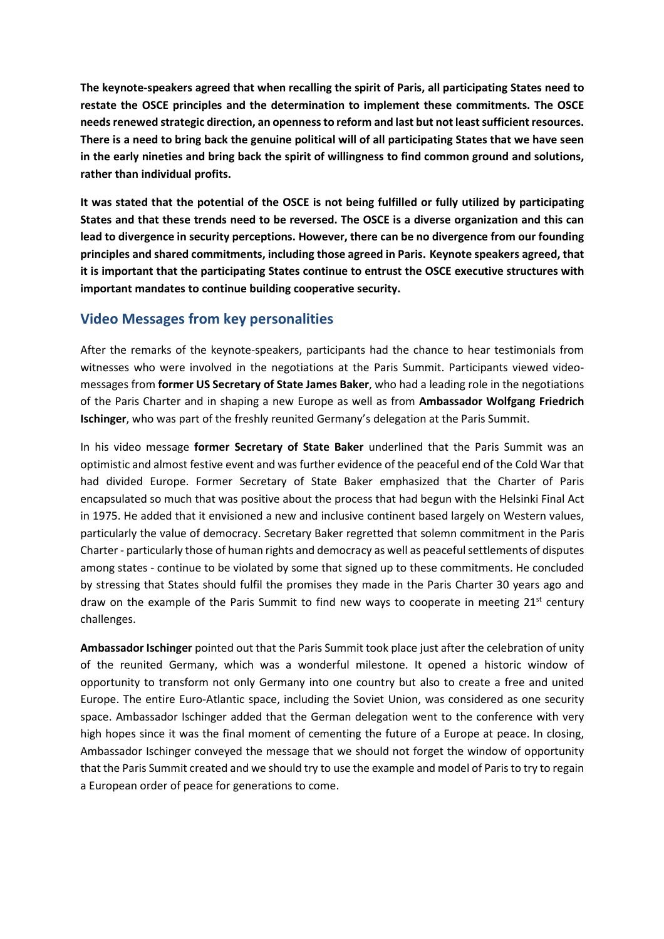**The keynote-speakers agreed that when recalling the spirit of Paris, all participating States need to restate the OSCE principles and the determination to implement these commitments. The OSCE needs renewed strategic direction, an openness to reform and last but not least sufficient resources. There is a need to bring back the genuine political will of all participating States that we have seen in the early nineties and bring back the spirit of willingness to find common ground and solutions, rather than individual profits.** 

**It was stated that the potential of the OSCE is not being fulfilled or fully utilized by participating States and that these trends need to be reversed. The OSCE is a diverse organization and this can lead to divergence in security perceptions. However, there can be no divergence from our founding principles and shared commitments, including those agreed in Paris. Keynote speakers agreed, that it is important that the participating States continue to entrust the OSCE executive structures with important mandates to continue building cooperative security.** 

### **Video Messages from key personalities**

After the remarks of the keynote-speakers, participants had the chance to hear testimonials from witnesses who were involved in the negotiations at the Paris Summit. Participants viewed videomessages from **former US Secretary of State James Baker**, who had a leading role in the negotiations of the Paris Charter and in shaping a new Europe as well as from **Ambassador Wolfgang Friedrich Ischinger**, who was part of the freshly reunited Germany's delegation at the Paris Summit.

In his video message **former Secretary of State Baker** underlined that the Paris Summit was an optimistic and almost festive event and was further evidence of the peaceful end of the Cold War that had divided Europe. Former Secretary of State Baker emphasized that the Charter of Paris encapsulated so much that was positive about the process that had begun with the Helsinki Final Act in 1975. He added that it envisioned a new and inclusive continent based largely on Western values, particularly the value of democracy. Secretary Baker regretted that solemn commitment in the Paris Charter - particularly those of human rights and democracy as well as peaceful settlements of disputes among states - continue to be violated by some that signed up to these commitments. He concluded by stressing that States should fulfil the promises they made in the Paris Charter 30 years ago and draw on the example of the Paris Summit to find new ways to cooperate in meeting  $21^{st}$  century challenges.

**Ambassador Ischinger** pointed out that the Paris Summit took place just after the celebration of unity of the reunited Germany, which was a wonderful milestone. It opened a historic window of opportunity to transform not only Germany into one country but also to create a free and united Europe. The entire Euro-Atlantic space, including the Soviet Union, was considered as one security space. Ambassador Ischinger added that the German delegation went to the conference with very high hopes since it was the final moment of cementing the future of a Europe at peace. In closing, Ambassador Ischinger conveyed the message that we should not forget the window of opportunity that the Paris Summit created and we should try to use the example and model of Paris to try to regain a European order of peace for generations to come.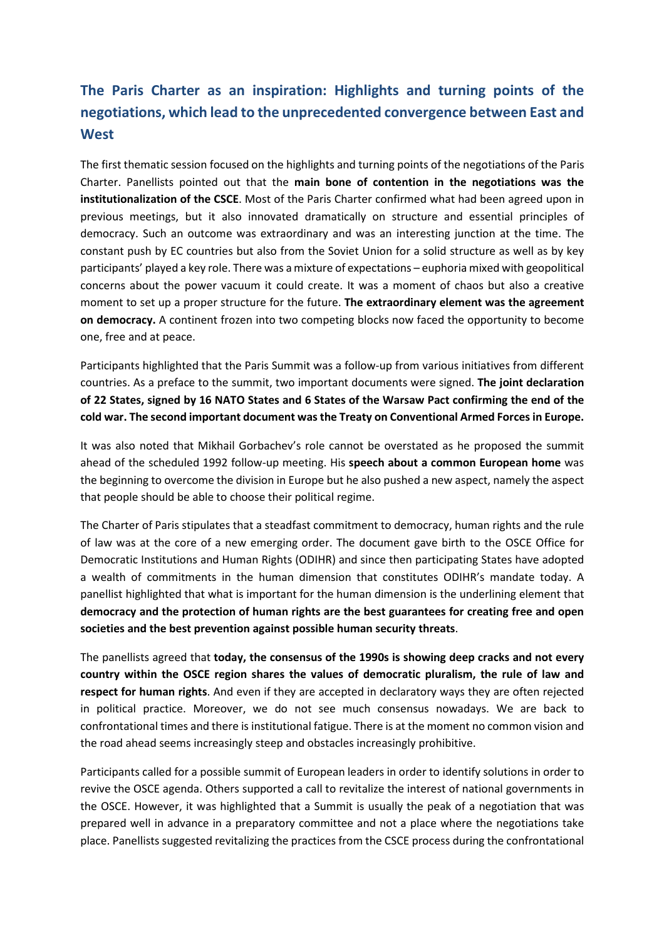# **The Paris Charter as an inspiration: Highlights and turning points of the negotiations, which lead to the unprecedented convergence between East and West**

The first thematic session focused on the highlights and turning points of the negotiations of the Paris Charter. Panellists pointed out that the **main bone of contention in the negotiations was the institutionalization of the CSCE**. Most of the Paris Charter confirmed what had been agreed upon in previous meetings, but it also innovated dramatically on structure and essential principles of democracy. Such an outcome was extraordinary and was an interesting junction at the time. The constant push by EC countries but also from the Soviet Union for a solid structure as well as by key participants' played a key role. There was a mixture of expectations – euphoria mixed with geopolitical concerns about the power vacuum it could create. It was a moment of chaos but also a creative moment to set up a proper structure for the future. **The extraordinary element was the agreement on democracy.** A continent frozen into two competing blocks now faced the opportunity to become one, free and at peace.

Participants highlighted that the Paris Summit was a follow-up from various initiatives from different countries. As a preface to the summit, two important documents were signed. **The joint declaration of 22 States, signed by 16 NATO States and 6 States of the Warsaw Pact confirming the end of the cold war. The second important document was the Treaty on Conventional Armed Forces in Europe.**

It was also noted that Mikhail Gorbachev's role cannot be overstated as he proposed the summit ahead of the scheduled 1992 follow-up meeting. His **speech about a common European home** was the beginning to overcome the division in Europe but he also pushed a new aspect, namely the aspect that people should be able to choose their political regime.

The Charter of Paris stipulates that a steadfast commitment to democracy, human rights and the rule of law was at the core of a new emerging order. The document gave birth to the OSCE Office for Democratic Institutions and Human Rights (ODIHR) and since then participating States have adopted a wealth of commitments in the human dimension that constitutes ODIHR's mandate today. A panellist highlighted that what is important for the human dimension is the underlining element that **democracy and the protection of human rights are the best guarantees for creating free and open societies and the best prevention against possible human security threats**.

The panellists agreed that **today, the consensus of the 1990s is showing deep cracks and not every country within the OSCE region shares the values of democratic pluralism, the rule of law and respect for human rights**. And even if they are accepted in declaratory ways they are often rejected in political practice. Moreover, we do not see much consensus nowadays. We are back to confrontational times and there is institutional fatigue. There is at the moment no common vision and the road ahead seems increasingly steep and obstacles increasingly prohibitive.

Participants called for a possible summit of European leaders in order to identify solutions in order to revive the OSCE agenda. Others supported a call to revitalize the interest of national governments in the OSCE. However, it was highlighted that a Summit is usually the peak of a negotiation that was prepared well in advance in a preparatory committee and not a place where the negotiations take place. Panellists suggested revitalizing the practices from the CSCE process during the confrontational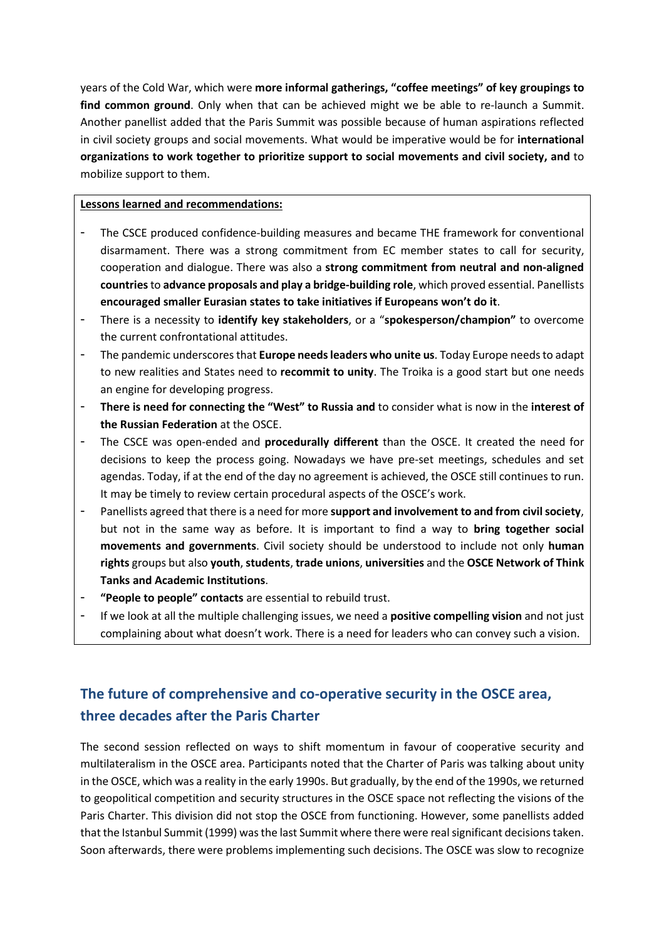years of the Cold War, which were **more informal gatherings, "coffee meetings" of key groupings to find common ground**. Only when that can be achieved might we be able to re-launch a Summit. Another panellist added that the Paris Summit was possible because of human aspirations reflected in civil society groups and social movements. What would be imperative would be for **international organizations to work together to prioritize support to social movements and civil society, and** to mobilize support to them.

### **Lessons learned and recommendations:**

- The CSCE produced confidence-building measures and became THE framework for conventional disarmament. There was a strong commitment from EC member states to call for security, cooperation and dialogue. There was also a **strong commitment from neutral and non-aligned countries** to **advance proposals and play a bridge-building role**, which proved essential. Panellists **encouraged smaller Eurasian states to take initiatives if Europeans won't do it**.
- There is a necessity to **identify key stakeholders**, or a "**spokesperson/champion"** to overcome the current confrontational attitudes.
- The pandemic underscores that **Europe needs leaders who unite us**. Today Europe needs to adapt to new realities and States need to **recommit to unity**. The Troika is a good start but one needs an engine for developing progress.
- **There is need for connecting the "West" to Russia and** to consider what is now in the **interest of the Russian Federation** at the OSCE.
- The CSCE was open-ended and **procedurally different** than the OSCE. It created the need for decisions to keep the process going. Nowadays we have pre-set meetings, schedules and set agendas. Today, if at the end of the day no agreement is achieved, the OSCE still continues to run. It may be timely to review certain procedural aspects of the OSCE's work.
- Panellists agreed that there is a need for more **support and involvement to and from civil society**, but not in the same way as before. It is important to find a way to **bring together social movements and governments**. Civil society should be understood to include not only **human rights** groups but also **youth**, **students**, **trade unions**, **universities** and the **OSCE Network of Think Tanks and Academic Institutions**.
- "People to people" contacts are essential to rebuild trust.
- If we look at all the multiple challenging issues, we need a **positive compelling vision** and not just complaining about what doesn't work. There is a need for leaders who can convey such a vision.

# **The future of comprehensive and co-operative security in the OSCE area, three decades after the Paris Charter**

The second session reflected on ways to shift momentum in favour of cooperative security and multilateralism in the OSCE area. Participants noted that the Charter of Paris was talking about unity in the OSCE, which was a reality in the early 1990s. But gradually, by the end of the 1990s, we returned to geopolitical competition and security structures in the OSCE space not reflecting the visions of the Paris Charter. This division did not stop the OSCE from functioning. However, some panellists added that the Istanbul Summit (1999) was the last Summit where there were real significant decisions taken. Soon afterwards, there were problems implementing such decisions. The OSCE was slow to recognize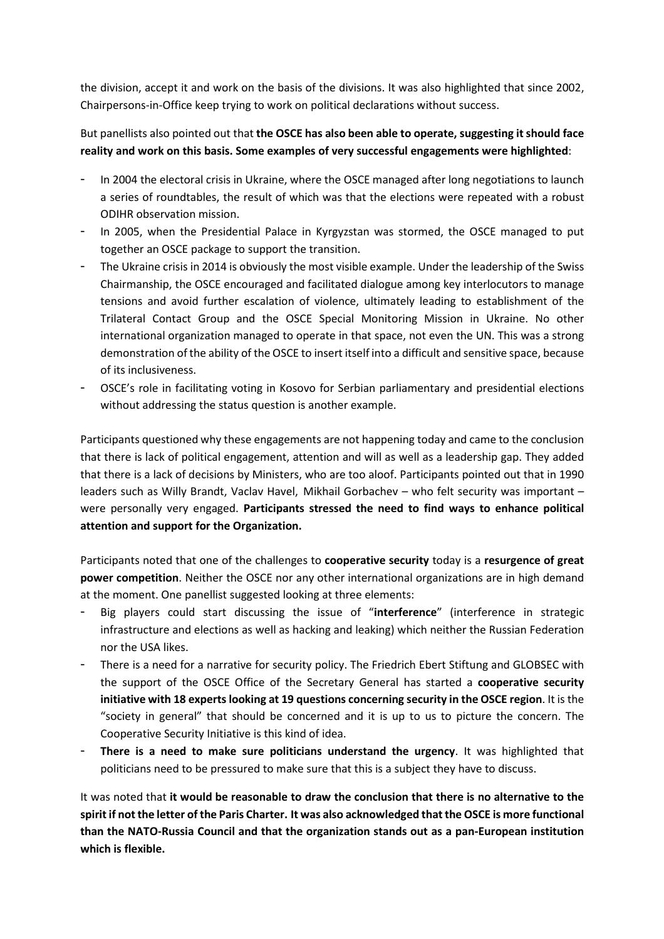the division, accept it and work on the basis of the divisions. It was also highlighted that since 2002, Chairpersons-in-Office keep trying to work on political declarations without success.

### But panellists also pointed out that **the OSCE has also been able to operate, suggesting it should face reality and work on this basis. Some examples of very successful engagements were highlighted**:

- In 2004 the electoral crisis in Ukraine, where the OSCE managed after long negotiations to launch a series of roundtables, the result of which was that the elections were repeated with a robust ODIHR observation mission.
- In 2005, when the Presidential Palace in Kyrgyzstan was stormed, the OSCE managed to put together an OSCE package to support the transition.
- The Ukraine crisis in 2014 is obviously the most visible example. Under the leadership of the Swiss Chairmanship, the OSCE encouraged and facilitated dialogue among key interlocutors to manage tensions and avoid further escalation of violence, ultimately leading to establishment of the Trilateral Contact Group and the OSCE Special Monitoring Mission in Ukraine. No other international organization managed to operate in that space, not even the UN. This was a strong demonstration of the ability of the OSCE to insert itself into a difficult and sensitive space, because of its inclusiveness.
- OSCE's role in facilitating voting in Kosovo for Serbian parliamentary and presidential elections without addressing the status question is another example.

Participants questioned why these engagements are not happening today and came to the conclusion that there is lack of political engagement, attention and will as well as a leadership gap. They added that there is a lack of decisions by Ministers, who are too aloof. Participants pointed out that in 1990 leaders such as Willy Brandt, Vaclav Havel, Mikhail Gorbachev – who felt security was important – were personally very engaged. **Participants stressed the need to find ways to enhance political attention and support for the Organization.** 

Participants noted that one of the challenges to **cooperative security** today is a **resurgence of great power competition**. Neither the OSCE nor any other international organizations are in high demand at the moment. One panellist suggested looking at three elements:

- Big players could start discussing the issue of "**interference**" (interference in strategic infrastructure and elections as well as hacking and leaking) which neither the Russian Federation nor the USA likes.
- There is a need for a narrative for security policy. The Friedrich Ebert Stiftung and GLOBSEC with the support of the OSCE Office of the Secretary General has started a **cooperative security initiative with 18 experts looking at 19 questions concerning security in the OSCE region**. It is the "society in general" that should be concerned and it is up to us to picture the concern. The Cooperative Security Initiative is this kind of idea.
- There is a need to make sure politicians understand the urgency. It was highlighted that politicians need to be pressured to make sure that this is a subject they have to discuss.

It was noted that **it would be reasonable to draw the conclusion that there is no alternative to the spirit if not the letter of the Paris Charter. It was also acknowledged that the OSCE is more functional than the NATO-Russia Council and that the organization stands out as a pan-European institution which is flexible.**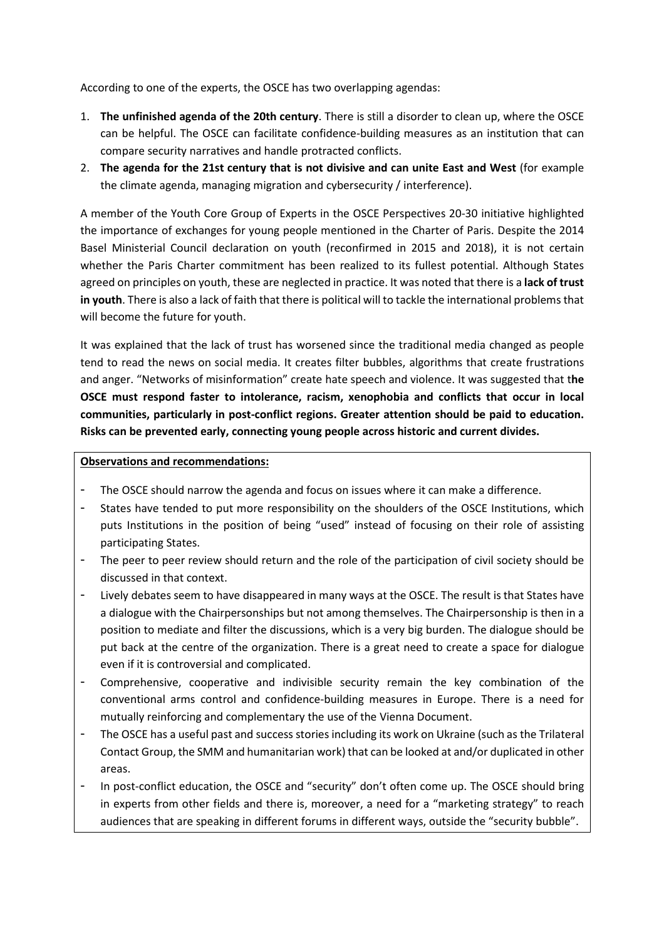According to one of the experts, the OSCE has two overlapping agendas:

- 1. **The unfinished agenda of the 20th century**. There is still a disorder to clean up, where the OSCE can be helpful. The OSCE can facilitate confidence-building measures as an institution that can compare security narratives and handle protracted conflicts.
- 2. **The agenda for the 21st century that is not divisive and can unite East and West** (for example the climate agenda, managing migration and cybersecurity / interference).

A member of the Youth Core Group of Experts in the OSCE Perspectives 20-30 initiative highlighted the importance of exchanges for young people mentioned in the Charter of Paris. Despite the 2014 Basel Ministerial Council declaration on youth (reconfirmed in 2015 and 2018), it is not certain whether the Paris Charter commitment has been realized to its fullest potential. Although States agreed on principles on youth, these are neglected in practice. It was noted that there is a **lack of trust in youth**. There is also a lack of faith that there is political will to tackle the international problems that will become the future for youth.

It was explained that the lack of trust has worsened since the traditional media changed as people tend to read the news on social media. It creates filter bubbles, algorithms that create frustrations and anger. "Networks of misinformation" create hate speech and violence. It was suggested that t**he OSCE must respond faster to intolerance, racism, xenophobia and conflicts that occur in local communities, particularly in post-conflict regions. Greater attention should be paid to education. Risks can be prevented early, connecting young people across historic and current divides.** 

### **Observations and recommendations:**

- The OSCE should narrow the agenda and focus on issues where it can make a difference.
- States have tended to put more responsibility on the shoulders of the OSCE Institutions, which puts Institutions in the position of being "used" instead of focusing on their role of assisting participating States.
- The peer to peer review should return and the role of the participation of civil society should be discussed in that context.
- Lively debates seem to have disappeared in many ways at the OSCE. The result is that States have a dialogue with the Chairpersonships but not among themselves. The Chairpersonship is then in a position to mediate and filter the discussions, which is a very big burden. The dialogue should be put back at the centre of the organization. There is a great need to create a space for dialogue even if it is controversial and complicated.
- Comprehensive, cooperative and indivisible security remain the key combination of the conventional arms control and confidence-building measures in Europe. There is a need for mutually reinforcing and complementary the use of the Vienna Document.
- The OSCE has a useful past and success stories including its work on Ukraine (such as the Trilateral Contact Group, the SMM and humanitarian work) that can be looked at and/or duplicated in other areas.
- In post-conflict education, the OSCE and "security" don't often come up. The OSCE should bring in experts from other fields and there is, moreover, a need for a "marketing strategy" to reach audiences that are speaking in different forums in different ways, outside the "security bubble".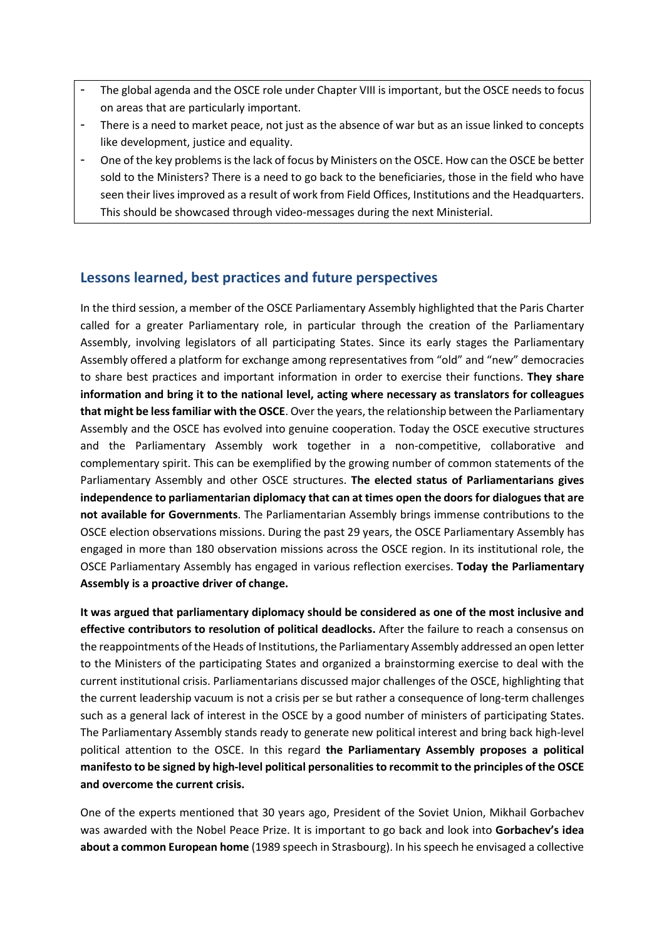- The global agenda and the OSCE role under Chapter VIII is important, but the OSCE needs to focus on areas that are particularly important.
- There is a need to market peace, not just as the absence of war but as an issue linked to concepts like development, justice and equality.
- One of the key problems is the lack of focus by Ministers on the OSCE. How can the OSCE be better sold to the Ministers? There is a need to go back to the beneficiaries, those in the field who have seen their lives improved as a result of work from Field Offices, Institutions and the Headquarters. This should be showcased through video-messages during the next Ministerial.

### **Lessons learned, best practices and future perspectives**

In the third session, a member of the OSCE Parliamentary Assembly highlighted that the Paris Charter called for a greater Parliamentary role, in particular through the creation of the Parliamentary Assembly, involving legislators of all participating States. Since its early stages the Parliamentary Assembly offered a platform for exchange among representatives from "old" and "new" democracies to share best practices and important information in order to exercise their functions. **They share information and bring it to the national level, acting where necessary as translators for colleagues that might be less familiar with the OSCE**. Over the years, the relationship between the Parliamentary Assembly and the OSCE has evolved into genuine cooperation. Today the OSCE executive structures and the Parliamentary Assembly work together in a non-competitive, collaborative and complementary spirit. This can be exemplified by the growing number of common statements of the Parliamentary Assembly and other OSCE structures. **The elected status of Parliamentarians gives independence to parliamentarian diplomacy that can at times open the doors for dialogues that are not available for Governments**. The Parliamentarian Assembly brings immense contributions to the OSCE election observations missions. During the past 29 years, the OSCE Parliamentary Assembly has engaged in more than 180 observation missions across the OSCE region. In its institutional role, the OSCE Parliamentary Assembly has engaged in various reflection exercises. **Today the Parliamentary Assembly is a proactive driver of change.** 

**It was argued that parliamentary diplomacy should be considered as one of the most inclusive and effective contributors to resolution of political deadlocks.** After the failure to reach a consensus on the reappointments of the Heads of Institutions, the Parliamentary Assembly addressed an open letter to the Ministers of the participating States and organized a brainstorming exercise to deal with the current institutional crisis. Parliamentarians discussed major challenges of the OSCE, highlighting that the current leadership vacuum is not a crisis per se but rather a consequence of long-term challenges such as a general lack of interest in the OSCE by a good number of ministers of participating States. The Parliamentary Assembly stands ready to generate new political interest and bring back high-level political attention to the OSCE. In this regard **the Parliamentary Assembly proposes a political manifesto to be signed by high-level political personalities to recommit to the principles of the OSCE and overcome the current crisis.** 

One of the experts mentioned that 30 years ago, President of the Soviet Union, Mikhail Gorbachev was awarded with the Nobel Peace Prize. It is important to go back and look into **Gorbachev's idea about a common European home** (1989 speech in Strasbourg). In his speech he envisaged a collective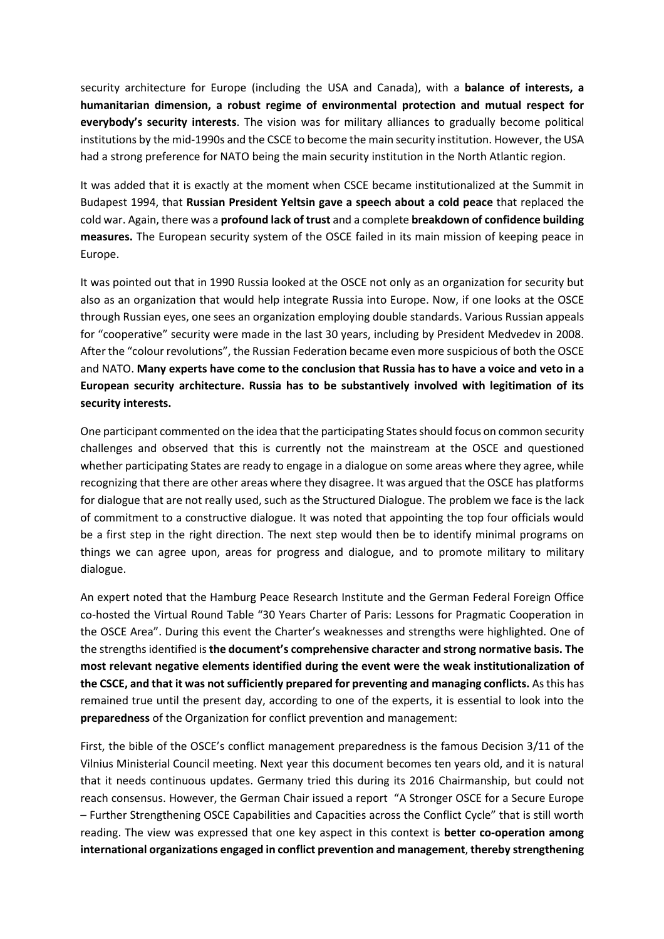security architecture for Europe (including the USA and Canada), with a **balance of interests, a humanitarian dimension, a robust regime of environmental protection and mutual respect for everybody's security interests**. The vision was for military alliances to gradually become political institutions by the mid-1990s and the CSCE to become the main security institution. However, the USA had a strong preference for NATO being the main security institution in the North Atlantic region.

It was added that it is exactly at the moment when CSCE became institutionalized at the Summit in Budapest 1994, that **Russian President Yeltsin gave a speech about a cold peace** that replaced the cold war. Again, there was a **profound lack of trust** and a complete **breakdown of confidence building measures.** The European security system of the OSCE failed in its main mission of keeping peace in Europe.

It was pointed out that in 1990 Russia looked at the OSCE not only as an organization for security but also as an organization that would help integrate Russia into Europe. Now, if one looks at the OSCE through Russian eyes, one sees an organization employing double standards. Various Russian appeals for "cooperative" security were made in the last 30 years, including by President Medvedev in 2008. After the "colour revolutions", the Russian Federation became even more suspicious of both the OSCE and NATO. **Many experts have come to the conclusion that Russia has to have a voice and veto in a European security architecture. Russia has to be substantively involved with legitimation of its security interests.** 

One participant commented on the idea that the participating States should focus on common security challenges and observed that this is currently not the mainstream at the OSCE and questioned whether participating States are ready to engage in a dialogue on some areas where they agree, while recognizing that there are other areas where they disagree. It was argued that the OSCE has platforms for dialogue that are not really used, such as the Structured Dialogue. The problem we face is the lack of commitment to a constructive dialogue. It was noted that appointing the top four officials would be a first step in the right direction. The next step would then be to identify minimal programs on things we can agree upon, areas for progress and dialogue, and to promote military to military dialogue.

An expert noted that the Hamburg Peace Research Institute and the German Federal Foreign Office co-hosted the Virtual Round Table "30 Years Charter of Paris: Lessons for Pragmatic Cooperation in the OSCE Area". During this event the Charter's weaknesses and strengths were highlighted. One of the strengths identified is **the document's comprehensive character and strong normative basis. The most relevant negative elements identified during the event were the weak institutionalization of the CSCE, and that it was not sufficiently prepared for preventing and managing conflicts.** As this has remained true until the present day, according to one of the experts, it is essential to look into the **preparedness** of the Organization for conflict prevention and management:

First, the bible of the OSCE's conflict management preparedness is the famous Decision 3/11 of the Vilnius Ministerial Council meeting. Next year this document becomes ten years old, and it is natural that it needs continuous updates. Germany tried this during its 2016 Chairmanship, but could not reach consensus. However, the German Chair issued a report "A Stronger OSCE for a Secure Europe – Further Strengthening OSCE Capabilities and Capacities across the Conflict Cycle" that is still worth reading. The view was expressed that one key aspect in this context is **better co-operation among international organizations engaged in conflict prevention and management**, **thereby strengthening**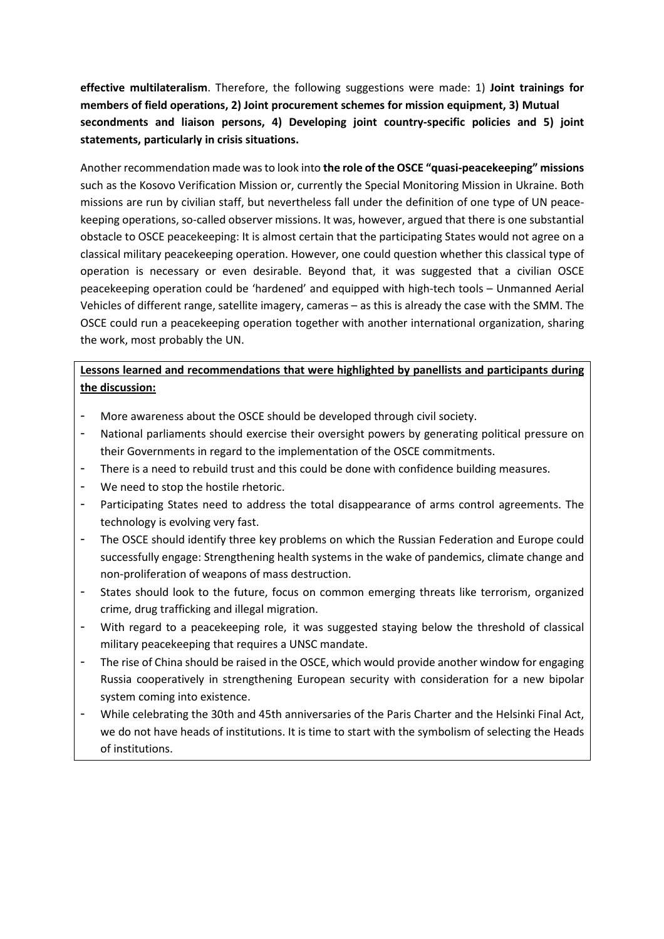**effective multilateralism**. Therefore, the following suggestions were made: 1) **Joint trainings for members of field operations, 2) Joint procurement schemes for mission equipment, 3) Mutual secondments and liaison persons, 4) Developing joint country-specific policies and 5) joint statements, particularly in crisis situations.** 

Another recommendation made was to look into **the role of the OSCE "quasi-peacekeeping" missions** such as the Kosovo Verification Mission or, currently the Special Monitoring Mission in Ukraine. Both missions are run by civilian staff, but nevertheless fall under the definition of one type of UN peacekeeping operations, so-called observer missions. It was, however, argued that there is one substantial obstacle to OSCE peacekeeping: It is almost certain that the participating States would not agree on a classical military peacekeeping operation. However, one could question whether this classical type of operation is necessary or even desirable. Beyond that, it was suggested that a civilian OSCE peacekeeping operation could be 'hardened' and equipped with high-tech tools – Unmanned Aerial Vehicles of different range, satellite imagery, cameras – as this is already the case with the SMM. The OSCE could run a peacekeeping operation together with another international organization, sharing the work, most probably the UN.

### **Lessons learned and recommendations that were highlighted by panellists and participants during the discussion:**

- More awareness about the OSCE should be developed through civil society.
- National parliaments should exercise their oversight powers by generating political pressure on their Governments in regard to the implementation of the OSCE commitments.
- There is a need to rebuild trust and this could be done with confidence building measures.
- We need to stop the hostile rhetoric.
- Participating States need to address the total disappearance of arms control agreements. The technology is evolving very fast.
- The OSCE should identify three key problems on which the Russian Federation and Europe could successfully engage: Strengthening health systems in the wake of pandemics, climate change and non-proliferation of weapons of mass destruction.
- States should look to the future, focus on common emerging threats like terrorism, organized crime, drug trafficking and illegal migration.
- With regard to a peacekeeping role, it was suggested staying below the threshold of classical military peacekeeping that requires a UNSC mandate.
- The rise of China should be raised in the OSCE, which would provide another window for engaging Russia cooperatively in strengthening European security with consideration for a new bipolar system coming into existence.
- While celebrating the 30th and 45th anniversaries of the Paris Charter and the Helsinki Final Act, we do not have heads of institutions. It is time to start with the symbolism of selecting the Heads of institutions.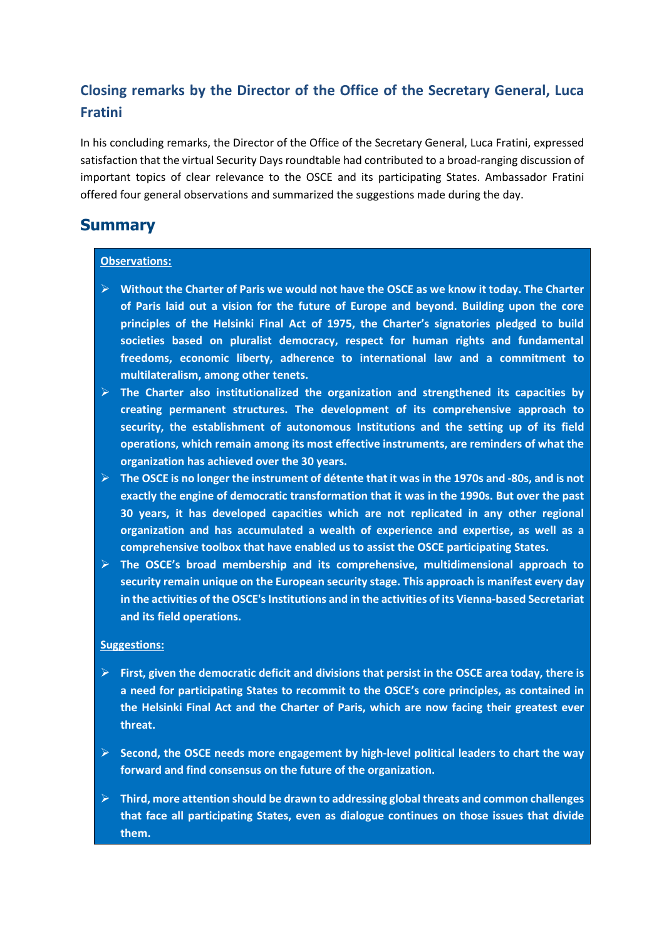# **Closing remarks by the Director of the Office of the Secretary General, Luca Fratini**

In his concluding remarks, the Director of the Office of the Secretary General, Luca Fratini, expressed satisfaction that the virtual Security Days roundtable had contributed to a broad-ranging discussion of important topics of clear relevance to the OSCE and its participating States. Ambassador Fratini offered four general observations and summarized the suggestions made during the day.

## **Summary**

### **Observations:**

- **Without the Charter of Paris we would not have the OSCE as we know it today. The Charter of Paris laid out a vision for the future of Europe and beyond. Building upon the core principles of the Helsinki Final Act of 1975, the Charter's signatories pledged to build societies based on pluralist democracy, respect for human rights and fundamental freedoms, economic liberty, adherence to international law and a commitment to multilateralism, among other tenets.**
- **The Charter also institutionalized the organization and strengthened its capacities by creating permanent structures. The development of its comprehensive approach to security, the establishment of autonomous Institutions and the setting up of its field operations, which remain among its most effective instruments, are reminders of what the organization has achieved over the 30 years.**
- **The OSCE is no longer the instrument of détente that it was in the 1970s and -80s, and is not exactly the engine of democratic transformation that it was in the 1990s. But over the past 30 years, it has developed capacities which are not replicated in any other regional organization and has accumulated a wealth of experience and expertise, as well as a comprehensive toolbox that have enabled us to assist the OSCE participating States.**
- **The OSCE's broad membership and its comprehensive, multidimensional approach to security remain unique on the European security stage. This approach is manifest every day in the activities of the OSCE's Institutions and in the activities of its Vienna-based Secretariat and its field operations.**

#### **Suggestions:**

- **First, given the democratic deficit and divisions that persist in the OSCE area today, there is a need for participating States to recommit to the OSCE's core principles, as contained in the Helsinki Final Act and the Charter of Paris, which are now facing their greatest ever threat.**
- **Second, the OSCE needs more engagement by high-level political leaders to chart the way forward and find consensus on the future of the organization.**
- **Third, more attention should be drawn to addressing global threats and common challenges that face all participating States, even as dialogue continues on those issues that divide them.**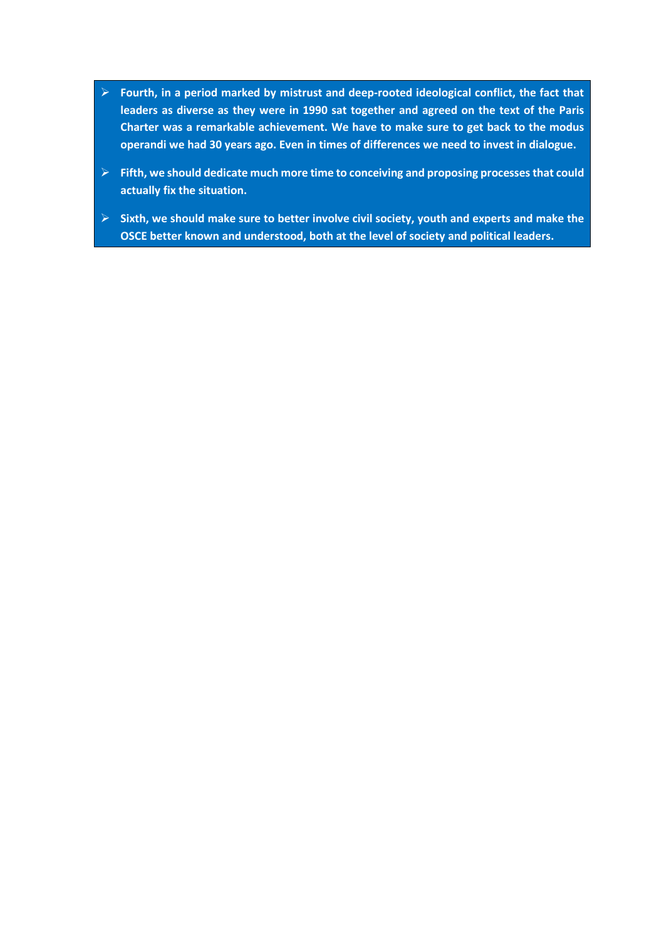- **Fourth, in a period marked by mistrust and deep-rooted ideological conflict, the fact that leaders as diverse as they were in 1990 sat together and agreed on the text of the Paris Charter was a remarkable achievement. We have to make sure to get back to the modus operandi we had 30 years ago. Even in times of differences we need to invest in dialogue.**
- **Fifth, we should dedicate much more time to conceiving and proposing processes that could actually fix the situation.**
- **Sixth, we should make sure to better involve civil society, youth and experts and make the OSCE better known and understood, both at the level of society and political leaders.**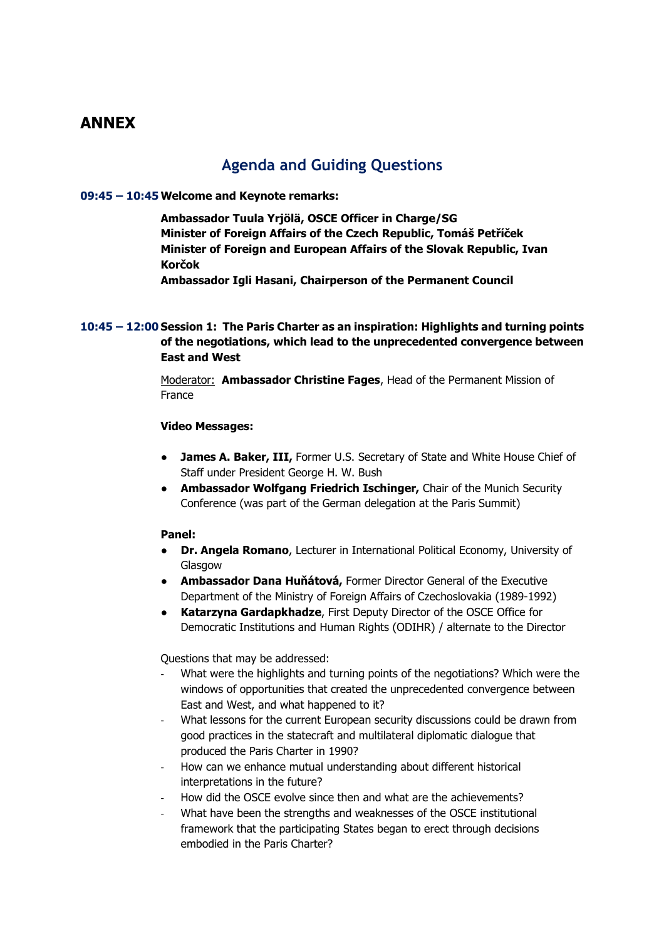## **ANNEX**

## **Agenda and Guiding Questions**

### **09:45 – 10:45Welcome and Keynote remarks:**

**Ambassador Tuula Yrjölä, OSCE Officer in Charge/SG Minister of Foreign Affairs of the Czech Republic, Tomáš Petříček Minister of Foreign and European Affairs of the Slovak Republic, Ivan Korčok** 

**Ambassador Igli Hasani, Chairperson of the Permanent Council** 

### **10:45 – 12:00 Session 1: The Paris Charter as an inspiration: Highlights and turning points of the negotiations, which lead to the unprecedented convergence between East and West**

Moderator: **Ambassador Christine Fages**, Head of the Permanent Mission of France

#### **Video Messages:**

- **James A. Baker, III,** Former U.S. Secretary of State and White House Chief of Staff under President George H. W. Bush
- **Ambassador Wolfgang Friedrich Ischinger,** Chair of the Munich Security Conference (was part of the German delegation at the Paris Summit)

#### **Panel:**

- **Dr. Angela Romano**, Lecturer in International Political Economy, University of Glasgow
- **Ambassador Dana Huňátová,** Former Director General of the Executive Department of the Ministry of Foreign Affairs of Czechoslovakia (1989-1992)
- **Katarzyna Gardapkhadze**, First Deputy Director of the OSCE Office for Democratic Institutions and Human Rights (ODIHR) / alternate to the Director

Questions that may be addressed:

- What were the highlights and turning points of the negotiations? Which were the windows of opportunities that created the unprecedented convergence between East and West, and what happened to it?
- What lessons for the current European security discussions could be drawn from good practices in the statecraft and multilateral diplomatic dialogue that produced the Paris Charter in 1990?
- How can we enhance mutual understanding about different historical interpretations in the future?
- How did the OSCE evolve since then and what are the achievements?
- What have been the strengths and weaknesses of the OSCE institutional framework that the participating States began to erect through decisions embodied in the Paris Charter?